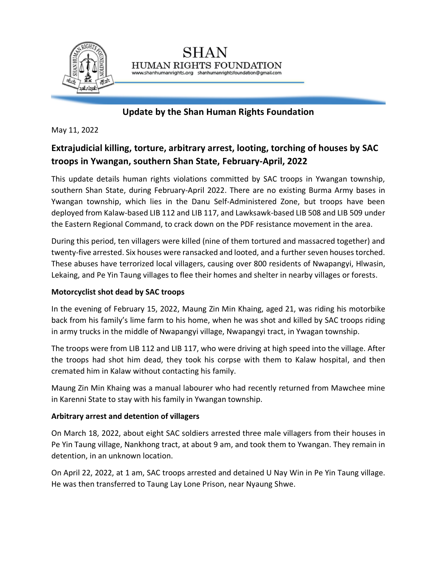

## **Update by the Shan Human Rights Foundation**

HUMAN RIGHTS FOUNDATION www.shanhumanrights.org shanhumanrightsfoundation@gmail.com

May 11, 2022

# **Extrajudicial killing, torture, arbitrary arrest, looting, torching of houses by SAC troops in Ywangan, southern Shan State, February-April, 2022**

This update details human rights violations committed by SAC troops in Ywangan township, southern Shan State, during February-April 2022. There are no existing Burma Army bases in Ywangan township, which lies in the Danu Self-Administered Zone, but troops have been deployed from Kalaw-based LIB 112 and LIB 117, and Lawksawk-based LIB 508 and LIB 509 under the Eastern Regional Command, to crack down on the PDF resistance movement in the area.

During this period, ten villagers were killed (nine of them tortured and massacred together) and twenty-five arrested. Six houses were ransacked and looted, and a further seven houses torched. These abuses have terrorized local villagers, causing over 800 residents of Nwapangyi, Hlwasin, Lekaing, and Pe Yin Taung villages to flee their homes and shelter in nearby villages or forests.

### **Motorcyclist shot dead by SAC troops**

In the evening of February 15, 2022, Maung Zin Min Khaing, aged 21, was riding his motorbike back from his family's lime farm to his home, when he was shot and killed by SAC troops riding in army trucks in the middle of Nwapangyi village, Nwapangyi tract, in Ywagan township.

The troops were from LIB 112 and LIB 117, who were driving at high speed into the village. After the troops had shot him dead, they took his corpse with them to Kalaw hospital, and then cremated him in Kalaw without contacting his family.

Maung Zin Min Khaing was a manual labourer who had recently returned from Mawchee mine in Karenni State to stay with his family in Ywangan township.

### **Arbitrary arrest and detention of villagers**

On March 18, 2022, about eight SAC soldiers arrested three male villagers from their houses in Pe Yin Taung village, Nankhong tract, at about 9 am, and took them to Ywangan. They remain in detention, in an unknown location.

On April 22, 2022, at 1 am, SAC troops arrested and detained U Nay Win in Pe Yin Taung village. He was then transferred to Taung Lay Lone Prison, near Nyaung Shwe.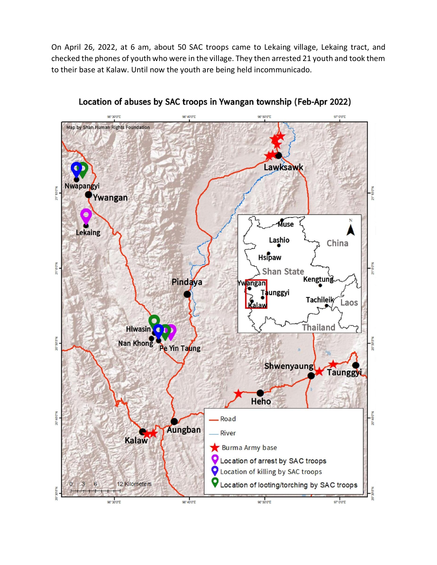On April 26, 2022, at 6 am, about 50 SAC troops came to Lekaing village, Lekaing tract, and checked the phones of youth who were in the village. They then arrested 21 youth and took them to their base at Kalaw. Until now the youth are being held incommunicado.



Location of abuses by SAC troops in Ywangan township (Feb-Apr 2022)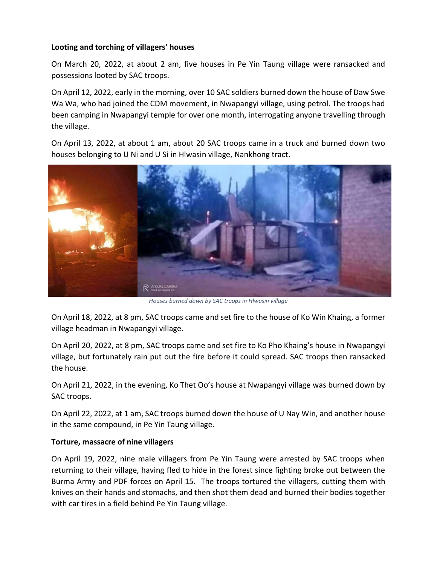#### **Looting and torching of villagers' houses**

On March 20, 2022, at about 2 am, five houses in Pe Yin Taung village were ransacked and possessions looted by SAC troops.

On April 12, 2022, early in the morning, over 10 SAC soldiers burned down the house of Daw Swe Wa Wa, who had joined the CDM movement, in Nwapangyi village, using petrol. The troops had been camping in Nwapangyi temple for over one month, interrogating anyone travelling through the village.

On April 13, 2022, at about 1 am, about 20 SAC troops came in a truck and burned down two houses belonging to U Ni and U Si in Hlwasin village, Nankhong tract.



*Houses burned down by SAC troops in Hlwasin village*

On April 18, 2022, at 8 pm, SAC troops came and set fire to the house of Ko Win Khaing, a former village headman in Nwapangyi village.

On April 20, 2022, at 8 pm, SAC troops came and set fire to Ko Pho Khaing's house in Nwapangyi village, but fortunately rain put out the fire before it could spread. SAC troops then ransacked the house.

On April 21, 2022, in the evening, Ko Thet Oo's house at Nwapangyi village was burned down by SAC troops.

On April 22, 2022, at 1 am, SAC troops burned down the house of U Nay Win, and another house in the same compound, in Pe Yin Taung village.

### **Torture, massacre of nine villagers**

On April 19, 2022, nine male villagers from Pe Yin Taung were arrested by SAC troops when returning to their village, having fled to hide in the forest since fighting broke out between the Burma Army and PDF forces on April 15. The troops tortured the villagers, cutting them with knives on their hands and stomachs, and then shot them dead and burned their bodies together with car tires in a field behind Pe Yin Taung village.